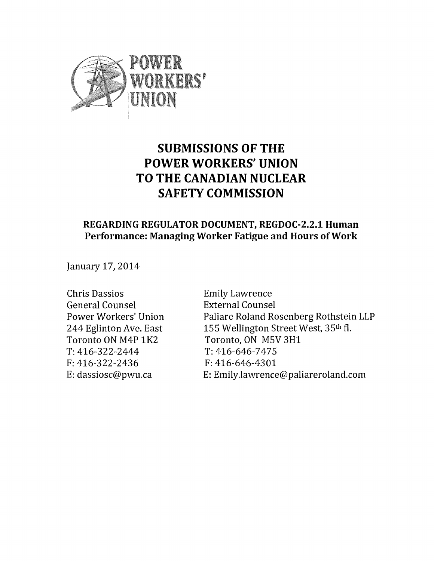

# SUBMISSIONS OF THE POWER WORKERS'UNION TO THE CANADIAN NUCLEAR SAFETY COMMISSION

## REGARDING REGULATOR DOCUMENT, REGDOC-2.2.1 Human Performance: Managing Worker Fatigue and Hours of Work

January 17,2014

Chris Dassios Emily Lawrence General Counsel External Counsel Toronto ON M4P 1K2 Toronto, ON M5V 3H1 T:416-322-2444 T:416-646-7475 F:416-322-2436 F:416-646-4301

Power Workers'Union Paliare Roland Rosenberg Rothstein LLP 244 Eglinton Ave. East 155 Wellington Street West, 35th fl. E:dassiosc@pwu.ca E:Emily.lawrence@paliareroland.com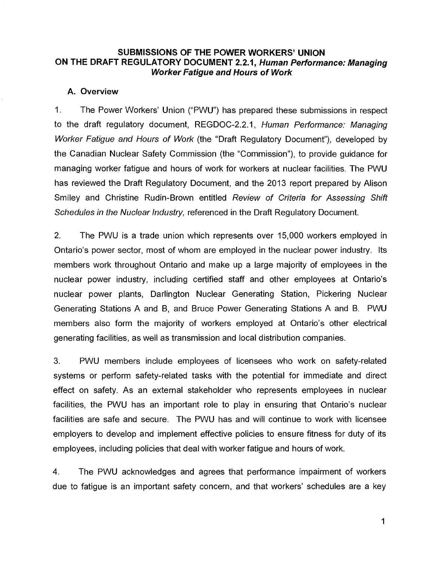## SUBMISSIONS OF THE POWER WORKERS'UNION ON THE DRAFT REGULATORY DOCUMENT 2.2.1, Human Performance: Managing Worker Fatigue and Hours of Work

#### A. Overview

1. The Power Workers' Union ("PWU") has prepared these submissions in respect to the draft regulatory document, REGDOC-2.2.1, Human Performance: Managing Worker Fatigue and Hours of Work (the "Draft Regulatory Document"), developed by the Canadian Nuclear Safety Commission (the "Commission"), to provide guidance for managing worker fatigue and hours of work for workers at nuclear facilities. The PWU has reviewed the Draft Regulatory Document, and the 2013 report prepared by Alison Smiley and Christine Rudin-Brown entitled Review of Criteria for Assessing Shift Schedules in the Nuclear Industry, referenced in the Draft Regulatory Document.

2. The PWU is a trade union which represents over 15,000 workers employed in Ontario's power sector, most of whom are employed in the nuclear power industry. Its members work throughout Ontario and make up a large majority of employees in the nuclear power industry, including certified staff and other employees at Ontario's nuclear power plants, Darlington Nuclear Generating Station, Pickering Nuclear Generating Stations A and B, and Bruce Power Generating Stations A and B. PWU members also form the majority of workers employed at Ontario's other electrical generating facilities, as well as transmission and local distribution companies.

3. PWU members include employees of licensees who work on safety-related systems or perform safety-related tasks with the potential for immediate and direct effect on safety. As an external stakeholder who represents employees in nuclear facilities, the PWU has an important role to play in ensuring that Ontario's nuclear facilities are safe and secure. The PWU has and will continue to work with licensee employers to develop and implement effective policies to ensure fitness for duty of its employees, including policies that deal with worker fatigue and hours of work.

4. The PWU acknowledges and agrees that performance impairment of workers due to fatigue is an important safety concern, and that workers' schedules are a key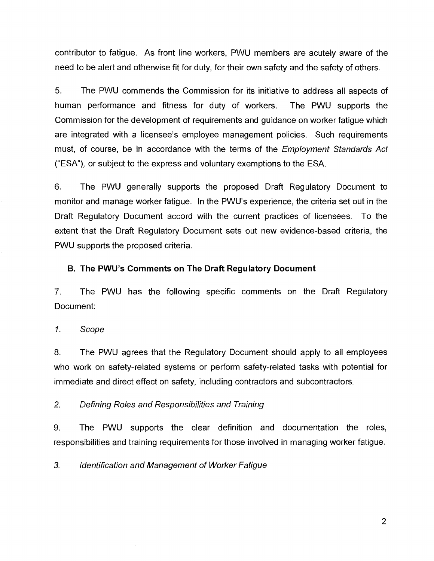contributor to fatigue. As front line workers, PWU members are acutely aware of the need to be alert and otherwise fit for duty, for their own safety and the safety of others.

5. The PWU commends the Commission for its initiative to address all aspects of human performance and fitness for duty of workers. The PWU supports the Commission for the development of requirements and guidance on worker fatigue which are integrated with a licensee's employee management policies. Such requirements must, of course, be in accordance with the terms of the *Employment Standards Act* ("ESA"), or subject to the express and voluntary exemptions to the ESA.

6. The PWU generally supports the proposed Draft Regulatory Document to monitor and manage worker fatigue. In the PWU's experience, the criteria set out in the Draft Regulatory Document accord with the current practices of licensees. To the extent that the Draft Regulatory Document sets out new evidence-based criteria, the PWU supports the proposed criteria.

B. The PWU's Comments on The Draft Regulatory Document

7. The PWU has the following specific comments on the Draft Regulatory Document:

1. Scope

8. The PWU agrees that the Regulatory Document should apply to all employees who work on safety-related systems or perform safety-related tasks with potential for immediate and direct effect on safety, including contractors and subcontractors.

2. Defining Roles and Responsibilities and Training

9. The PWU supports the clear definition and documentation the roles, responsibilities and training requirements for those involved in managing worker fatigue.

3. Identification and Management of Worker Fatigue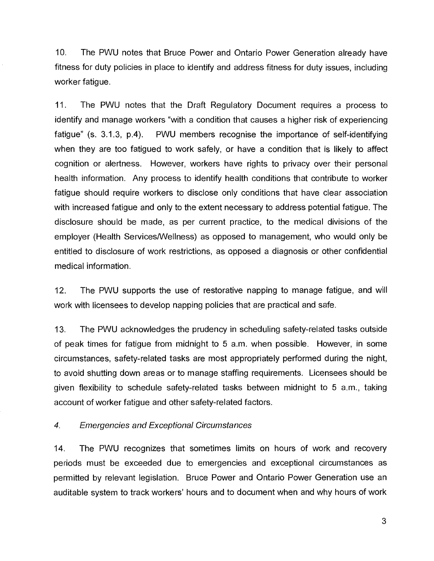10. The PWU notes that Bruce Power and Ontario Power Generation already have fitness for duty policies in place to identify and address fitness for duty issues, including worker fatigue.

11. The PWU notes that the Draft Regulatory Document requires a process to identify and manage workers "with a condition that causes a higher risk of experiencing fatigue" (s. 3.1.3, p.4). PWU members recognise the importance of self-identifying when they are too fatigued to work safely, or have a condition that is likely to affect cognition or alertness. However, workers have rights to privacy over their personal health information. Any process to identify health conditions that contribute to worker fatigue should require workers to disclose only conditions that have clear association with increased fatigue and only to the extent necessary to address potential fatigue. The disclosure should be made, as per current practice, to the medical divisions of the employer (Health Services/Wellness) as opposed to management, who would only be entitled to disclosure of work restrictions, as opposed a diagnosis or other confidential medical information.

12. The PWU supports the use of restorative napping to manage fatigue, and will work with licensees to develop napping policies that are practical and safe.

13. The PWU acknowledges the prudency in scheduling safety-related tasks outside of peak times for fatigue from midnight to 5 a.m. when possible. However, in some circumstances, safety-related tasks are most appropriately performed during the night, to avoid shutting down areas or to manage staffing requirements. Licensees should be given flexibility to schedule safety-related tasks between midnight to 5 a.m., taking account of worker fatigue and other safety-related factors.

## 4. Emergencies and Exceptional Circumstances

14. The PWU recognizes that sometimes limits on hours of work and recovery periods must be exceeded due to emergencies and exceptional circumstances as permitted by relevant legislation. Bruce Power and Ontario Power Generation use an auditable system to track workers' hours and to document when and why hours of work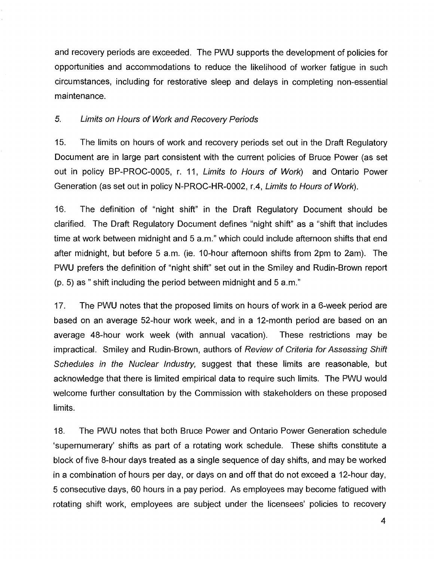and recovery periods are exceeded. The PWU supports the development of policies for opportunities and accommodations to reduce the likelihood of worker fatigue in such circumstances, including for restorative sleep and delays in completing non-essential maintenance.

### 5. Limits on Hours of Work and Recovery Periods

15. The limits on hours of work and recovery periods set out in the Draft Regulatory Document are in large part consistent with the current policies of Bruce Power (as set out in policy BP-PROC-0005, r. 11, Limits to Hours of Work) and Ontario Power Generation (as set out in policy N-PROC-HR-0002, r.4, Limits to Hours of Work).

16. The definition of "night shift" in the Draft Regulatory Document should be clarified. The Draft Regulatory Document defines "night shift" as a "shift that includes time at work between midnight and 5 a.m." which could include afternoon shifts that end after midnight, but before 5 a.m. (ie. 10-hour afternoon shifts from 2pm to 2am). The PWU prefers the definition of "night shift" set out in the Smiley and Rudin-Brown report  $(p, 5)$  as " shift including the period between midnight and 5 a.m."

17. The PWU notes that the proposed limits on hours of work in a 6-week period are based on an average 52-hour work week, and in a 12-month period are based on an average 48-hour work week (with annual vacation). These restrictions may be impractical. Smiley and Rudin-Brown, authors of Review of Criteria for Assessing Shift Schedules in the Nuclear Industry, suggest that these limits are reasonable, but acknowledge that there is limited empirical data to require such limits. The PWU would welcome further consultation by the Commission with stakeholders on these proposed limits.

18. The PWU notes that both Bruce Power and Ontario Power Generation schedule `supernumerary' shifts as part of a rotating work schedule. These shifts constitute a block offive 8-hour days treated as a single sequence of day shifts, and may be worked in a combination of hours per day, or days on and off that do not exceed a 12-hour day, 5 consecutive days,60 hours in a pay period. As employees may become fatigued with rotating shift work, employees are subject under the licensees' policies to recovery

4